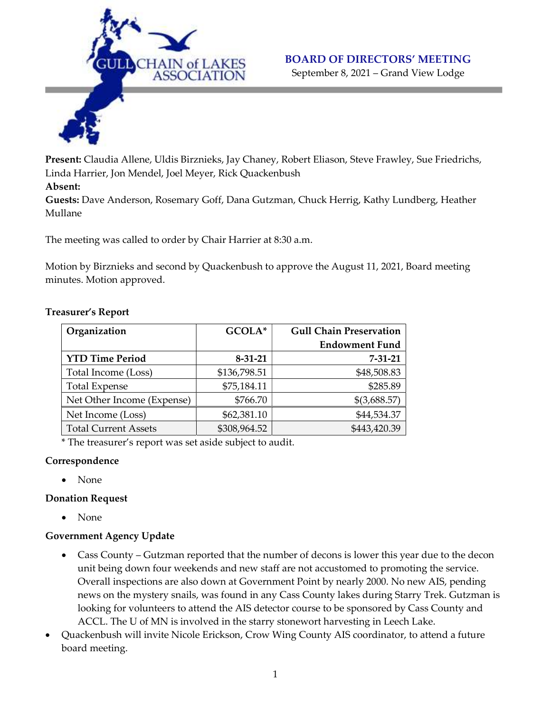

# BOARD OF DIRECTORS' MEETING

September 8, 2021 – Grand View Lodge

Present: Claudia Allene, Uldis Birznieks, Jay Chaney, Robert Eliason, Steve Frawley, Sue Friedrichs, Linda Harrier, Jon Mendel, Joel Meyer, Rick Quackenbush

#### Absent:

Guests: Dave Anderson, Rosemary Goff, Dana Gutzman, Chuck Herrig, Kathy Lundberg, Heather Mullane

The meeting was called to order by Chair Harrier at 8:30 a.m.

Motion by Birznieks and second by Quackenbush to approve the August 11, 2021, Board meeting minutes. Motion approved.

| Organization                | GCOLA*        | <b>Gull Chain Preservation</b> |
|-----------------------------|---------------|--------------------------------|
|                             |               | <b>Endowment Fund</b>          |
| <b>YTD Time Period</b>      | $8 - 31 - 21$ | $7 - 31 - 21$                  |
| Total Income (Loss)         | \$136,798.51  | \$48,508.83                    |
| <b>Total Expense</b>        | \$75,184.11   | \$285.89                       |
| Net Other Income (Expense)  | \$766.70      | \$(3,688.57)                   |
| Net Income (Loss)           | \$62,381.10   | \$44,534.37                    |
| <b>Total Current Assets</b> | \$308,964.52  | \$443,420.39                   |

#### Treasurer's Report

\* The treasurer's report was set aside subject to audit.

#### Correspondence

• None

## Donation Request

• None

## Government Agency Update

- Cass County Gutzman reported that the number of decons is lower this year due to the decon unit being down four weekends and new staff are not accustomed to promoting the service. Overall inspections are also down at Government Point by nearly 2000. No new AIS, pending news on the mystery snails, was found in any Cass County lakes during Starry Trek. Gutzman is looking for volunteers to attend the AIS detector course to be sponsored by Cass County and ACCL. The U of MN is involved in the starry stonewort harvesting in Leech Lake.
- Quackenbush will invite Nicole Erickson, Crow Wing County AIS coordinator, to attend a future board meeting.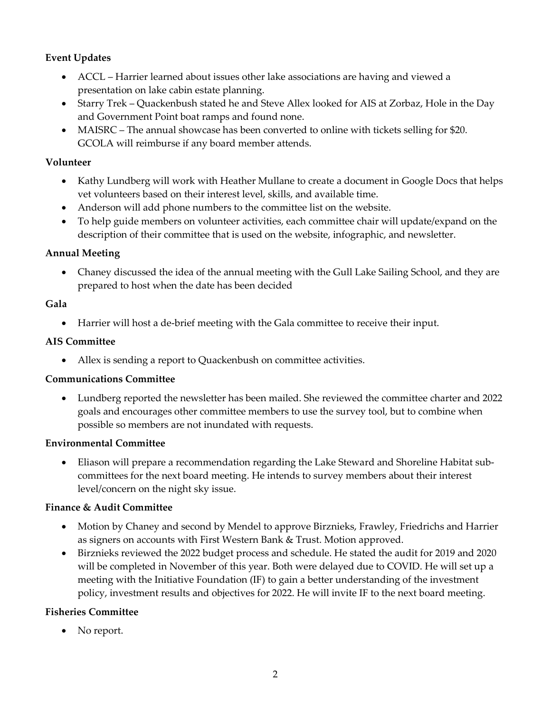## Event Updates

- ACCL Harrier learned about issues other lake associations are having and viewed a presentation on lake cabin estate planning.
- Starry Trek Quackenbush stated he and Steve Allex looked for AIS at Zorbaz, Hole in the Day and Government Point boat ramps and found none.
- MAISRC The annual showcase has been converted to online with tickets selling for \$20. GCOLA will reimburse if any board member attends.

## Volunteer

- Kathy Lundberg will work with Heather Mullane to create a document in Google Docs that helps vet volunteers based on their interest level, skills, and available time.
- Anderson will add phone numbers to the committee list on the website.
- To help guide members on volunteer activities, each committee chair will update/expand on the description of their committee that is used on the website, infographic, and newsletter.

## Annual Meeting

 Chaney discussed the idea of the annual meeting with the Gull Lake Sailing School, and they are prepared to host when the date has been decided

# Gala

Harrier will host a de-brief meeting with the Gala committee to receive their input.

# AIS Committee

Allex is sending a report to Quackenbush on committee activities.

# Communications Committee

 Lundberg reported the newsletter has been mailed. She reviewed the committee charter and 2022 goals and encourages other committee members to use the survey tool, but to combine when possible so members are not inundated with requests.

## Environmental Committee

 Eliason will prepare a recommendation regarding the Lake Steward and Shoreline Habitat subcommittees for the next board meeting. He intends to survey members about their interest level/concern on the night sky issue.

## Finance & Audit Committee

- Motion by Chaney and second by Mendel to approve Birznieks, Frawley, Friedrichs and Harrier as signers on accounts with First Western Bank & Trust. Motion approved.
- Birznieks reviewed the 2022 budget process and schedule. He stated the audit for 2019 and 2020 will be completed in November of this year. Both were delayed due to COVID. He will set up a meeting with the Initiative Foundation (IF) to gain a better understanding of the investment policy, investment results and objectives for 2022. He will invite IF to the next board meeting.

## Fisheries Committee

• No report.